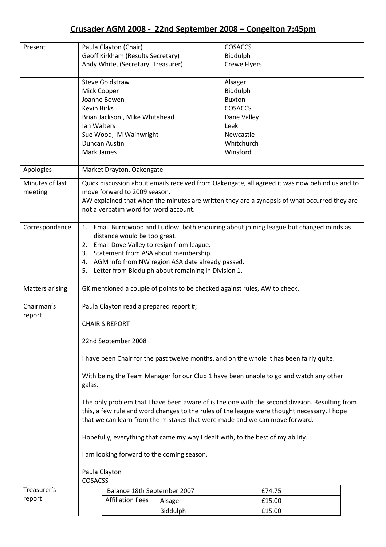## Crusader AGM 2008 - 22nd September 2008 – Congelton 7:45pm

| Present                |                                                                                                                                                                                                   | Paula Clayton (Chair)                        | <b>COSACCS</b>                                                                                |                     |         |  |  |  |
|------------------------|---------------------------------------------------------------------------------------------------------------------------------------------------------------------------------------------------|----------------------------------------------|-----------------------------------------------------------------------------------------------|---------------------|---------|--|--|--|
|                        |                                                                                                                                                                                                   | Geoff Kirkham (Results Secretary)            |                                                                                               | Biddulph            |         |  |  |  |
|                        | Andy White, (Secretary, Treasurer)                                                                                                                                                                |                                              |                                                                                               | <b>Crewe Flyers</b> |         |  |  |  |
|                        |                                                                                                                                                                                                   |                                              |                                                                                               |                     |         |  |  |  |
|                        |                                                                                                                                                                                                   | <b>Steve Goldstraw</b>                       |                                                                                               |                     | Alsager |  |  |  |
|                        | Mick Cooper                                                                                                                                                                                       |                                              |                                                                                               | Biddulph            |         |  |  |  |
|                        |                                                                                                                                                                                                   | Joanne Bowen                                 |                                                                                               | <b>Buxton</b>       |         |  |  |  |
|                        | <b>Kevin Birks</b>                                                                                                                                                                                |                                              |                                                                                               | <b>COSACCS</b>      |         |  |  |  |
|                        |                                                                                                                                                                                                   | Brian Jackson, Mike Whitehead<br>Dane Valley |                                                                                               |                     |         |  |  |  |
|                        | Ian Walters                                                                                                                                                                                       |                                              |                                                                                               | Leek                |         |  |  |  |
|                        |                                                                                                                                                                                                   | Sue Wood, M Wainwright                       |                                                                                               | Newcastle           |         |  |  |  |
|                        |                                                                                                                                                                                                   | Duncan Austin                                |                                                                                               | Whitchurch          |         |  |  |  |
|                        | Mark James                                                                                                                                                                                        |                                              |                                                                                               | Winsford            |         |  |  |  |
|                        |                                                                                                                                                                                                   |                                              |                                                                                               |                     |         |  |  |  |
| Apologies              |                                                                                                                                                                                                   | Market Drayton, Oakengate                    |                                                                                               |                     |         |  |  |  |
| Minutes of last        |                                                                                                                                                                                                   |                                              | Quick discussion about emails received from Oakengate, all agreed it was now behind us and to |                     |         |  |  |  |
| meeting                |                                                                                                                                                                                                   | move forward to 2009 season.                 |                                                                                               |                     |         |  |  |  |
|                        |                                                                                                                                                                                                   |                                              | AW explained that when the minutes are written they are a synopsis of what occurred they are  |                     |         |  |  |  |
|                        |                                                                                                                                                                                                   | not a verbatim word for word account.        |                                                                                               |                     |         |  |  |  |
|                        |                                                                                                                                                                                                   |                                              |                                                                                               |                     |         |  |  |  |
| Correspondence         |                                                                                                                                                                                                   |                                              | 1. Email Burntwood and Ludlow, both enquiring about joining league but changed minds as       |                     |         |  |  |  |
|                        | distance would be too great.                                                                                                                                                                      |                                              |                                                                                               |                     |         |  |  |  |
|                        |                                                                                                                                                                                                   | 2. Email Dove Valley to resign from league.  |                                                                                               |                     |         |  |  |  |
|                        | Statement from ASA about membership.<br>3.                                                                                                                                                        |                                              |                                                                                               |                     |         |  |  |  |
|                        | 4. AGM info from NW region ASA date already passed.                                                                                                                                               |                                              |                                                                                               |                     |         |  |  |  |
|                        | Letter from Biddulph about remaining in Division 1.<br>5.                                                                                                                                         |                                              |                                                                                               |                     |         |  |  |  |
|                        |                                                                                                                                                                                                   |                                              |                                                                                               |                     |         |  |  |  |
| <b>Matters arising</b> |                                                                                                                                                                                                   |                                              | GK mentioned a couple of points to be checked against rules, AW to check.                     |                     |         |  |  |  |
| Chairman's             |                                                                                                                                                                                                   |                                              |                                                                                               |                     |         |  |  |  |
| report                 | Paula Clayton read a prepared report #;                                                                                                                                                           |                                              |                                                                                               |                     |         |  |  |  |
|                        | <b>CHAIR'S REPORT</b>                                                                                                                                                                             |                                              |                                                                                               |                     |         |  |  |  |
|                        |                                                                                                                                                                                                   |                                              |                                                                                               |                     |         |  |  |  |
|                        | 22nd September 2008                                                                                                                                                                               |                                              |                                                                                               |                     |         |  |  |  |
|                        |                                                                                                                                                                                                   |                                              |                                                                                               |                     |         |  |  |  |
|                        | I have been Chair for the past twelve months, and on the whole it has been fairly quite.                                                                                                          |                                              |                                                                                               |                     |         |  |  |  |
|                        |                                                                                                                                                                                                   |                                              |                                                                                               |                     |         |  |  |  |
|                        | With being the Team Manager for our Club 1 have been unable to go and watch any other<br>galas.<br>The only problem that I have been aware of is the one with the second division. Resulting from |                                              |                                                                                               |                     |         |  |  |  |
|                        |                                                                                                                                                                                                   |                                              |                                                                                               |                     |         |  |  |  |
|                        |                                                                                                                                                                                                   |                                              |                                                                                               |                     |         |  |  |  |
|                        |                                                                                                                                                                                                   |                                              |                                                                                               |                     |         |  |  |  |
|                        | this, a few rule and word changes to the rules of the league were thought necessary. I hope                                                                                                       |                                              |                                                                                               |                     |         |  |  |  |
|                        | that we can learn from the mistakes that were made and we can move forward.                                                                                                                       |                                              |                                                                                               |                     |         |  |  |  |
|                        | Hopefully, everything that came my way I dealt with, to the best of my ability.                                                                                                                   |                                              |                                                                                               |                     |         |  |  |  |
|                        |                                                                                                                                                                                                   |                                              |                                                                                               |                     |         |  |  |  |
|                        | I am looking forward to the coming season.                                                                                                                                                        |                                              |                                                                                               |                     |         |  |  |  |
|                        | Paula Clayton                                                                                                                                                                                     |                                              |                                                                                               |                     |         |  |  |  |
|                        | <b>COSACSS</b>                                                                                                                                                                                    |                                              |                                                                                               |                     |         |  |  |  |
| Treasurer's            |                                                                                                                                                                                                   | Balance 18th September 2007                  |                                                                                               |                     | £74.75  |  |  |  |
| report                 |                                                                                                                                                                                                   | <b>Affiliation Fees</b>                      | Alsager                                                                                       |                     | £15.00  |  |  |  |
|                        |                                                                                                                                                                                                   |                                              | Biddulph                                                                                      |                     | £15.00  |  |  |  |
|                        |                                                                                                                                                                                                   |                                              |                                                                                               |                     |         |  |  |  |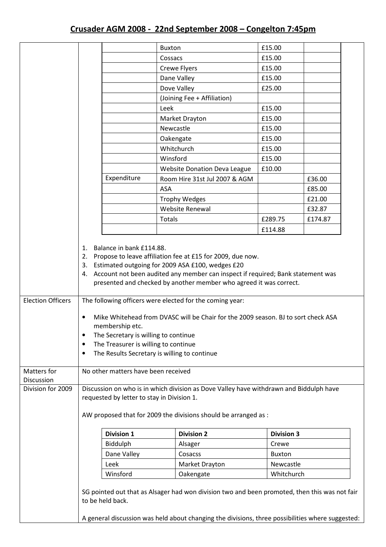|                                         |                                                                                                                                                                                                                                                                                                                                                                                                                                                                                                                            |                   | <b>Buxton</b>                                                                                                                                                                                     | £15.00            |         |  |
|-----------------------------------------|----------------------------------------------------------------------------------------------------------------------------------------------------------------------------------------------------------------------------------------------------------------------------------------------------------------------------------------------------------------------------------------------------------------------------------------------------------------------------------------------------------------------------|-------------------|---------------------------------------------------------------------------------------------------------------------------------------------------------------------------------------------------|-------------------|---------|--|
|                                         |                                                                                                                                                                                                                                                                                                                                                                                                                                                                                                                            |                   | Cossacs                                                                                                                                                                                           | £15.00            |         |  |
|                                         |                                                                                                                                                                                                                                                                                                                                                                                                                                                                                                                            |                   | Crewe Flyers                                                                                                                                                                                      | £15.00            |         |  |
|                                         |                                                                                                                                                                                                                                                                                                                                                                                                                                                                                                                            |                   | Dane Valley                                                                                                                                                                                       | £15.00            |         |  |
|                                         |                                                                                                                                                                                                                                                                                                                                                                                                                                                                                                                            |                   | Dove Valley                                                                                                                                                                                       | £25.00            |         |  |
|                                         |                                                                                                                                                                                                                                                                                                                                                                                                                                                                                                                            |                   | (Joining Fee + Affiliation)                                                                                                                                                                       |                   |         |  |
|                                         |                                                                                                                                                                                                                                                                                                                                                                                                                                                                                                                            |                   | Leek                                                                                                                                                                                              | £15.00            |         |  |
|                                         |                                                                                                                                                                                                                                                                                                                                                                                                                                                                                                                            |                   | Market Drayton                                                                                                                                                                                    | £15.00            |         |  |
|                                         |                                                                                                                                                                                                                                                                                                                                                                                                                                                                                                                            |                   | Newcastle                                                                                                                                                                                         | £15.00            |         |  |
|                                         |                                                                                                                                                                                                                                                                                                                                                                                                                                                                                                                            |                   | Oakengate                                                                                                                                                                                         | £15.00            |         |  |
|                                         |                                                                                                                                                                                                                                                                                                                                                                                                                                                                                                                            |                   | Whitchurch                                                                                                                                                                                        | £15.00            |         |  |
|                                         |                                                                                                                                                                                                                                                                                                                                                                                                                                                                                                                            |                   | Winsford                                                                                                                                                                                          | £15.00            |         |  |
|                                         |                                                                                                                                                                                                                                                                                                                                                                                                                                                                                                                            |                   | <b>Website Donation Deva League</b>                                                                                                                                                               | £10.00            |         |  |
|                                         |                                                                                                                                                                                                                                                                                                                                                                                                                                                                                                                            | Expenditure       | Room Hire 31st Jul 2007 & AGM                                                                                                                                                                     |                   | £36.00  |  |
|                                         |                                                                                                                                                                                                                                                                                                                                                                                                                                                                                                                            |                   | <b>ASA</b>                                                                                                                                                                                        |                   | £85.00  |  |
|                                         |                                                                                                                                                                                                                                                                                                                                                                                                                                                                                                                            |                   | <b>Trophy Wedges</b>                                                                                                                                                                              |                   | £21.00  |  |
|                                         |                                                                                                                                                                                                                                                                                                                                                                                                                                                                                                                            |                   | Website Renewal                                                                                                                                                                                   |                   | £32.87  |  |
|                                         |                                                                                                                                                                                                                                                                                                                                                                                                                                                                                                                            |                   | <b>Totals</b>                                                                                                                                                                                     | £289.75           | £174.87 |  |
|                                         |                                                                                                                                                                                                                                                                                                                                                                                                                                                                                                                            |                   |                                                                                                                                                                                                   | £114.88           |         |  |
|                                         |                                                                                                                                                                                                                                                                                                                                                                                                                                                                                                                            |                   |                                                                                                                                                                                                   |                   |         |  |
| <b>Election Officers</b><br>Matters for | 4. Account not been audited any member can inspect if required; Bank statement was<br>presented and checked by another member who agreed it was correct.<br>The following officers were elected for the coming year:<br>Mike Whitehead from DVASC will be Chair for the 2009 season. BJ to sort check ASA<br>$\bullet$<br>membership etc.<br>The Secretary is willing to continue<br>٠<br>The Treasurer is willing to continue<br>٠<br>The Results Secretary is willing to continue<br>No other matters have been received |                   |                                                                                                                                                                                                   |                   |         |  |
| Discussion                              |                                                                                                                                                                                                                                                                                                                                                                                                                                                                                                                            |                   |                                                                                                                                                                                                   |                   |         |  |
| Division for 2009                       | Discussion on who is in which division as Dove Valley have withdrawn and Biddulph have<br>requested by letter to stay in Division 1.<br>AW proposed that for 2009 the divisions should be arranged as :                                                                                                                                                                                                                                                                                                                    |                   |                                                                                                                                                                                                   |                   |         |  |
|                                         |                                                                                                                                                                                                                                                                                                                                                                                                                                                                                                                            | <b>Division 1</b> | <b>Division 2</b>                                                                                                                                                                                 | <b>Division 3</b> |         |  |
|                                         |                                                                                                                                                                                                                                                                                                                                                                                                                                                                                                                            | Biddulph          | Alsager                                                                                                                                                                                           | Crewe             |         |  |
|                                         |                                                                                                                                                                                                                                                                                                                                                                                                                                                                                                                            | Dane Valley       | Cosacss                                                                                                                                                                                           | <b>Buxton</b>     |         |  |
|                                         | Leek<br>Newcastle<br>Market Drayton                                                                                                                                                                                                                                                                                                                                                                                                                                                                                        |                   |                                                                                                                                                                                                   |                   |         |  |
|                                         | Winsford<br>Whitchurch<br>Oakengate                                                                                                                                                                                                                                                                                                                                                                                                                                                                                        |                   |                                                                                                                                                                                                   |                   |         |  |
|                                         |                                                                                                                                                                                                                                                                                                                                                                                                                                                                                                                            | to be held back.  | SG pointed out that as Alsager had won division two and been promoted, then this was not fair<br>A general discussion was held about changing the divisions, three possibilities where suggested: |                   |         |  |
|                                         |                                                                                                                                                                                                                                                                                                                                                                                                                                                                                                                            |                   |                                                                                                                                                                                                   |                   |         |  |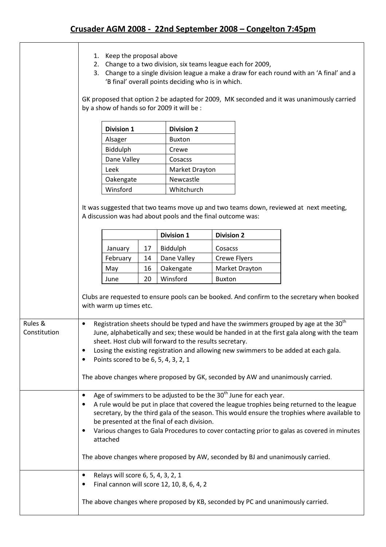## Crusader AGM 2008 - 22nd September 2008 – Congelton 7:45pm

|                                                                                                                                                                                                                                                                                                                                                                                                                                                                                                                                                     | Keep the proposal above<br>1.<br>Change to a two division, six teams league each for 2009,<br>2.<br>3. Change to a single division league a make a draw for each round with an 'A final' and a<br>'B final' overall points deciding who is in which. |    |                   |                   |                |                                                                                                                                                                                                                                                                                          |  |
|-----------------------------------------------------------------------------------------------------------------------------------------------------------------------------------------------------------------------------------------------------------------------------------------------------------------------------------------------------------------------------------------------------------------------------------------------------------------------------------------------------------------------------------------------------|------------------------------------------------------------------------------------------------------------------------------------------------------------------------------------------------------------------------------------------------------|----|-------------------|-------------------|----------------|------------------------------------------------------------------------------------------------------------------------------------------------------------------------------------------------------------------------------------------------------------------------------------------|--|
|                                                                                                                                                                                                                                                                                                                                                                                                                                                                                                                                                     | GK proposed that option 2 be adapted for 2009, MK seconded and it was unanimously carried<br>by a show of hands so for 2009 it will be :                                                                                                             |    |                   |                   |                |                                                                                                                                                                                                                                                                                          |  |
|                                                                                                                                                                                                                                                                                                                                                                                                                                                                                                                                                     | <b>Division 1</b>                                                                                                                                                                                                                                    |    | <b>Division 2</b> |                   |                |                                                                                                                                                                                                                                                                                          |  |
|                                                                                                                                                                                                                                                                                                                                                                                                                                                                                                                                                     | Alsager                                                                                                                                                                                                                                              |    | <b>Buxton</b>     |                   |                |                                                                                                                                                                                                                                                                                          |  |
|                                                                                                                                                                                                                                                                                                                                                                                                                                                                                                                                                     | Biddulph                                                                                                                                                                                                                                             |    | Crewe             | Cosacss           |                |                                                                                                                                                                                                                                                                                          |  |
|                                                                                                                                                                                                                                                                                                                                                                                                                                                                                                                                                     | Dane Valley                                                                                                                                                                                                                                          |    |                   |                   |                |                                                                                                                                                                                                                                                                                          |  |
|                                                                                                                                                                                                                                                                                                                                                                                                                                                                                                                                                     | Leek                                                                                                                                                                                                                                                 |    |                   |                   |                |                                                                                                                                                                                                                                                                                          |  |
|                                                                                                                                                                                                                                                                                                                                                                                                                                                                                                                                                     | Oakengate                                                                                                                                                                                                                                            |    | Newcastle         | Whitchurch        |                |                                                                                                                                                                                                                                                                                          |  |
|                                                                                                                                                                                                                                                                                                                                                                                                                                                                                                                                                     | Winsford                                                                                                                                                                                                                                             |    |                   |                   |                |                                                                                                                                                                                                                                                                                          |  |
|                                                                                                                                                                                                                                                                                                                                                                                                                                                                                                                                                     | A discussion was had about pools and the final outcome was:                                                                                                                                                                                          |    |                   |                   |                | It was suggested that two teams move up and two teams down, reviewed at next meeting,                                                                                                                                                                                                    |  |
|                                                                                                                                                                                                                                                                                                                                                                                                                                                                                                                                                     |                                                                                                                                                                                                                                                      |    | <b>Division 1</b> | <b>Division 2</b> |                |                                                                                                                                                                                                                                                                                          |  |
|                                                                                                                                                                                                                                                                                                                                                                                                                                                                                                                                                     | January                                                                                                                                                                                                                                              | 17 | Biddulph          | Cosacss           |                |                                                                                                                                                                                                                                                                                          |  |
|                                                                                                                                                                                                                                                                                                                                                                                                                                                                                                                                                     | February                                                                                                                                                                                                                                             | 14 | Dane Valley       |                   | Crewe Flyers   |                                                                                                                                                                                                                                                                                          |  |
|                                                                                                                                                                                                                                                                                                                                                                                                                                                                                                                                                     | May                                                                                                                                                                                                                                                  | 16 | Oakengate         |                   | Market Drayton |                                                                                                                                                                                                                                                                                          |  |
|                                                                                                                                                                                                                                                                                                                                                                                                                                                                                                                                                     | June                                                                                                                                                                                                                                                 | 20 | Winsford          | <b>Buxton</b>     |                |                                                                                                                                                                                                                                                                                          |  |
|                                                                                                                                                                                                                                                                                                                                                                                                                                                                                                                                                     | with warm up times etc.                                                                                                                                                                                                                              |    |                   |                   |                | Clubs are requested to ensure pools can be booked. And confirm to the secretary when booked                                                                                                                                                                                              |  |
| Rules &<br>Constitution                                                                                                                                                                                                                                                                                                                                                                                                                                                                                                                             | $\bullet$<br>sheet. Host club will forward to the results secretary.<br>$\bullet$<br>Points scored to be 6, 5, 4, 3, 2, 1<br>٠<br>The above changes where proposed by GK, seconded by AW and unanimously carried.                                    |    |                   |                   |                | Registration sheets should be typed and have the swimmers grouped by age at the 30 <sup>th</sup><br>June, alphabetically and sex; these would be handed in at the first gala along with the team<br>Losing the existing registration and allowing new swimmers to be added at each gala. |  |
| Age of swimmers to be adjusted to be the 30 <sup>th</sup> June for each year.<br>$\bullet$<br>A rule would be put in place that covered the league trophies being returned to the league<br>secretary, by the third gala of the season. This would ensure the trophies where available to<br>be presented at the final of each division.<br>Various changes to Gala Procedures to cover contacting prior to galas as covered in minutes<br>$\bullet$<br>attached<br>The above changes where proposed by AW, seconded by BJ and unanimously carried. |                                                                                                                                                                                                                                                      |    |                   |                   |                |                                                                                                                                                                                                                                                                                          |  |
|                                                                                                                                                                                                                                                                                                                                                                                                                                                                                                                                                     | Relays will score 6, 5, 4, 3, 2, 1<br>$\bullet$<br>Final cannon will score 12, 10, 8, 6, 4, 2<br>٠                                                                                                                                                   |    |                   |                   |                |                                                                                                                                                                                                                                                                                          |  |
|                                                                                                                                                                                                                                                                                                                                                                                                                                                                                                                                                     | The above changes where proposed by KB, seconded by PC and unanimously carried.                                                                                                                                                                      |    |                   |                   |                |                                                                                                                                                                                                                                                                                          |  |